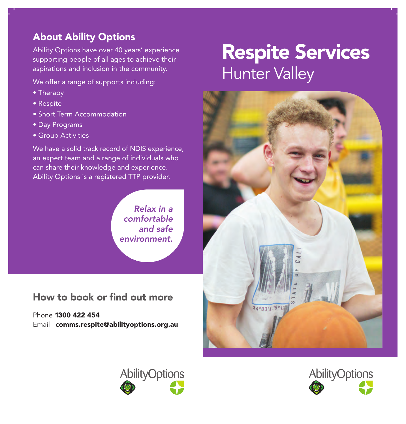## About Ability Options

Ability Options have over 40 years' experience supporting people of all ages to achieve their aspirations and inclusion in the community.

We offer a range of supports including:

- Therapy
- Respite
- Short Term Accommodation
- Day Programs
- Group Activities

We have a solid track record of NDIS experience, an expert team and a range of individuals who can share their knowledge and experience. Ability Options is a registered TTP provider.

> *Relax in a comfortable and safe environment.*

How to book or find out more

Phone 1300 422 454 Email comms.respite@abilityoptions.org.au